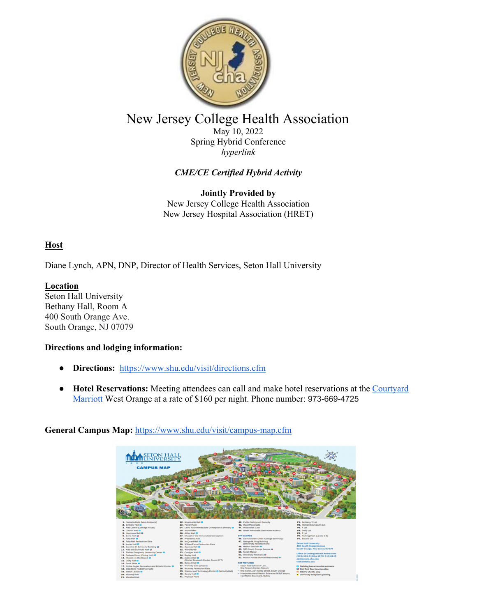

## New Jersey College Health Association

May 10, 2022 Spring Hybrid Conference *hyperlink* 

## *CME/CE Certified Hybrid Activity*

**Jointly Provided by**  New Jersey College Health Association New Jersey Hospital Association (HRET)

## **Host**

Diane Lynch, APN, DNP, Director of Health Services, Seton Hall University

**Location**  Seton Hall University Bethany Hall, Room A 400 South Orange Ave. South Orange, NJ 07079

#### **Directions and lodging information:**

- **Directions:** https://www.shu.edu/visit/directions.cfm
- **Hotel Reservations:** Meeting attendees can call and make hotel reservations at the Courtyard Marriott West Orange at a rate of \$160 per night. Phone number: 973-669-4725



## **General Campus Map:** https://www.shu.edu/visit/campus-map.cfm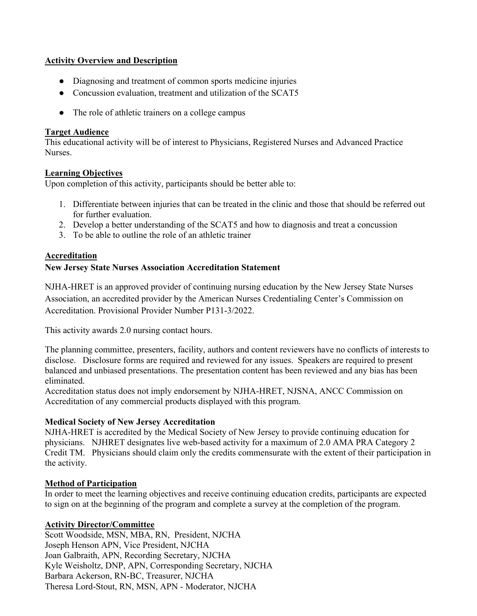#### **Activity Overview and Description**

- Diagnosing and treatment of common sports medicine injuries
- Concussion evaluation, treatment and utilization of the SCAT5
- The role of athletic trainers on a college campus

#### **Target Audience**

This educational activity will be of interest to Physicians, Registered Nurses and Advanced Practice Nurses.

#### **Learning Objectives**

Upon completion of this activity, participants should be better able to:

- 1. Differentiate between injuries that can be treated in the clinic and those that should be referred out for further evaluation.
- 2. Develop a better understanding of the SCAT5 and how to diagnosis and treat a concussion
- 3. To be able to outline the role of an athletic trainer

## **Accreditation**

## **New Jersey State Nurses Association Accreditation Statement**

NJHA-HRET is an approved provider of continuing nursing education by the New Jersey State Nurses Association, an accredited provider by the American Nurses Credentialing Center's Commission on Accreditation. Provisional Provider Number P131-3/2022.

This activity awards 2.0 nursing contact hours.

The planning committee, presenters, facility, authors and content reviewers have no conflicts of interests to disclose. Disclosure forms are required and reviewed for any issues. Speakers are required to present balanced and unbiased presentations. The presentation content has been reviewed and any bias has been eliminated.

Accreditation status does not imply endorsement by NJHA-HRET, NJSNA, ANCC Commission on Accreditation of any commercial products displayed with this program.

#### **Medical Society of New Jersey Accreditation**

NJHA-HRET is accredited by the Medical Society of New Jersey to provide continuing education for physicians. NJHRET designates live web-based activity for a maximum of 2.0 AMA PRA Category 2 Credit TM. Physicians should claim only the credits commensurate with the extent of their participation in the activity.

## **Method of Participation**

In order to meet the learning objectives and receive continuing education credits, participants are expected to sign on at the beginning of the program and complete a survey at the completion of the program.

## **Activity Director/Committee**

Scott Woodside, MSN, MBA, RN, President, NJCHA Joseph Henson APN, Vice President, NJCHA Joan Galbraith, APN, Recording Secretary, NJCHA Kyle Weisholtz, DNP, APN, Corresponding Secretary, NJCHA Barbara Ackerson, RN-BC, Treasurer, NJCHA Theresa Lord-Stout, RN, MSN, APN - Moderator, NJCHA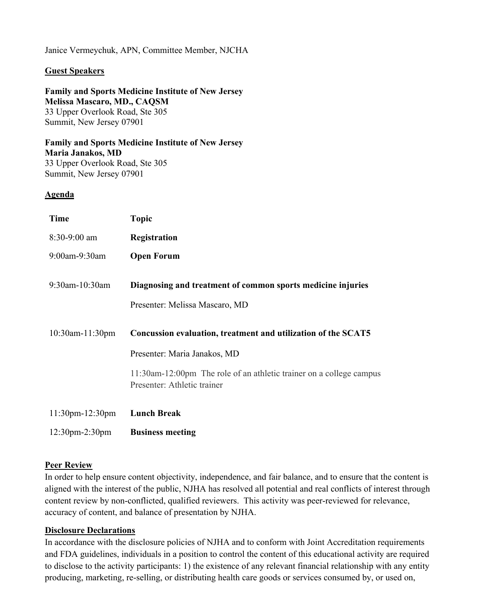#### Janice Vermeychuk, APN, Committee Member, NJCHA

#### **Guest Speakers**

#### **Family and Sports Medicine Institute of New Jersey Melissa Mascaro, MD., CAQSM**  33 Upper Overlook Road, Ste 305 Summit, New Jersey 07901

**Family and Sports Medicine Institute of New Jersey Maria Janakos, MD**  33 Upper Overlook Road, Ste 305 Summit, New Jersey 07901

#### **Agenda**

| <b>Time</b>            | <b>Topic</b>                                                                                       |
|------------------------|----------------------------------------------------------------------------------------------------|
| $8:30-9:00$ am         | Registration                                                                                       |
| 9:00am-9:30am          | <b>Open Forum</b>                                                                                  |
| 9:30am-10:30am         | Diagnosing and treatment of common sports medicine injuries<br>Presenter: Melissa Mascaro, MD      |
| 10:30am-11:30pm        | Concussion evaluation, treatment and utilization of the SCAT5                                      |
|                        | Presenter: Maria Janakos, MD                                                                       |
|                        | 11:30am-12:00pm The role of an athletic trainer on a college campus<br>Presenter: Athletic trainer |
| $11:30$ pm- $12:30$ pm | <b>Lunch Break</b>                                                                                 |
| $12:30$ pm $-2:30$ pm  | <b>Business meeting</b>                                                                            |

#### **Peer Review**

In order to help ensure content objectivity, independence, and fair balance, and to ensure that the content is aligned with the interest of the public, NJHA has resolved all potential and real conflicts of interest through content review by non-conflicted, qualified reviewers. This activity was peer-reviewed for relevance, accuracy of content, and balance of presentation by NJHA.

#### **Disclosure Declarations**

In accordance with the disclosure policies of NJHA and to conform with Joint Accreditation requirements and FDA guidelines, individuals in a position to control the content of this educational activity are required to disclose to the activity participants: 1) the existence of any relevant financial relationship with any entity producing, marketing, re-selling, or distributing health care goods or services consumed by, or used on,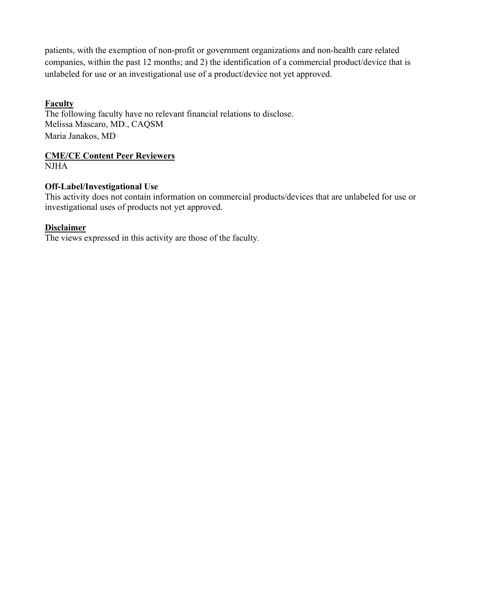patients, with the exemption of non-profit or government organizations and non-health care related companies, within the past 12 months; and 2) the identification of a commercial product/device that is unlabeled for use or an investigational use of a product/device not yet approved.

## **Faculty**

The following faculty have no relevant financial relations to disclose. Melissa Mascaro, MD., CAQSM Maria Janakos, MD

## **CME/CE Content Peer Reviewers**

NJHA

### **Off-Label/Investigational Use**

This activity does not contain information on commercial products/devices that are unlabeled for use or investigational uses of products not yet approved.

#### **Disclaimer**

The views expressed in this activity are those of the faculty.